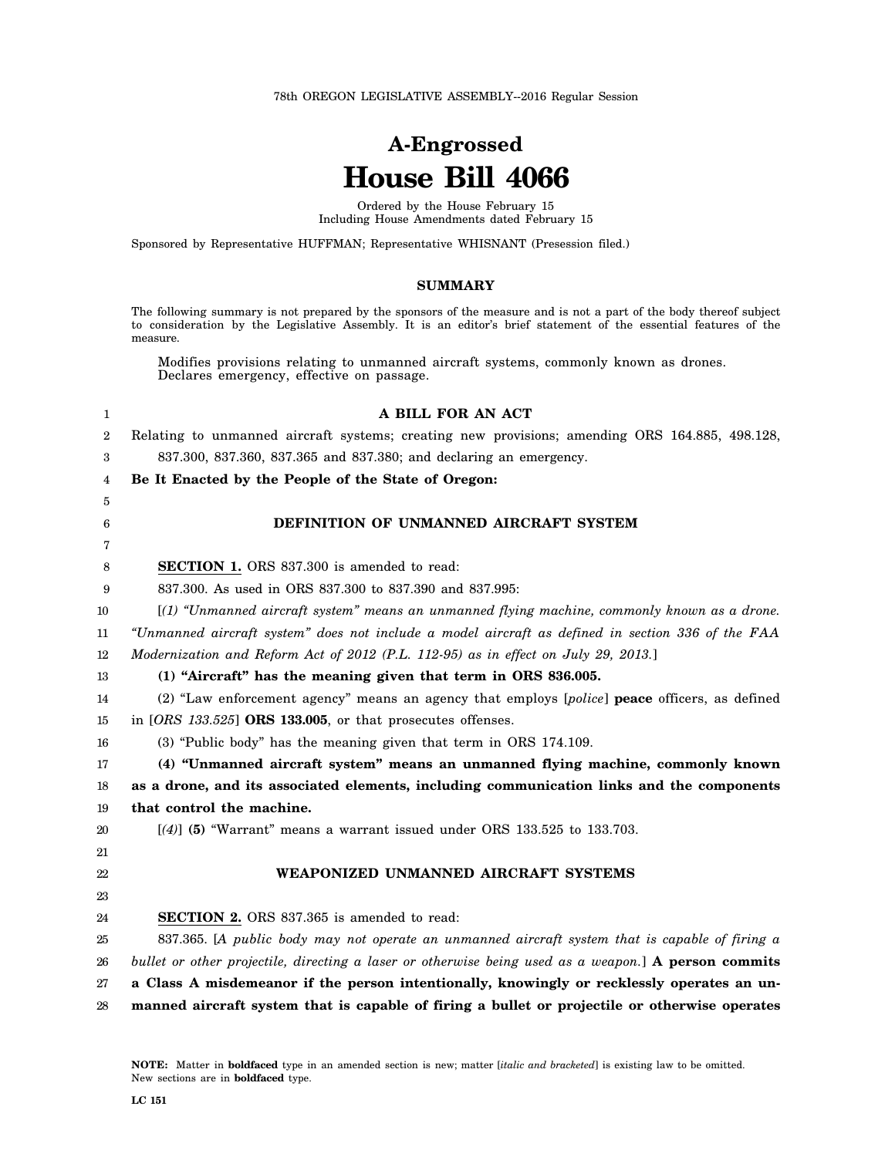78th OREGON LEGISLATIVE ASSEMBLY--2016 Regular Session

# **A-Engrossed House Bill 4066**

Ordered by the House February 15 Including House Amendments dated February 15

Sponsored by Representative HUFFMAN; Representative WHISNANT (Presession filed.)

#### **SUMMARY**

The following summary is not prepared by the sponsors of the measure and is not a part of the body thereof subject to consideration by the Legislative Assembly. It is an editor's brief statement of the essential features of the measure.

Modifies provisions relating to unmanned aircraft systems, commonly known as drones. Declares emergency, effective on passage.

| 1              | A BILL FOR AN ACT                                                                                    |
|----------------|------------------------------------------------------------------------------------------------------|
| $\overline{2}$ | Relating to unmanned aircraft systems; creating new provisions; amending ORS 164.885, 498.128,       |
| 3              | 837.300, 837.360, 837.365 and 837.380; and declaring an emergency.                                   |
| 4              | Be It Enacted by the People of the State of Oregon:                                                  |
| 5              |                                                                                                      |
| 6              | DEFINITION OF UNMANNED AIRCRAFT SYSTEM                                                               |
| 7              |                                                                                                      |
| 8              | <b>SECTION 1.</b> ORS 837.300 is amended to read:                                                    |
| 9              | 837.300. As used in ORS 837.300 to 837.390 and 837.995:                                              |
| 10             | [(1) "Unmanned aircraft system" means an unmanned flying machine, commonly known as a drone.         |
| 11             | "Unmanned aircraft system" does not include a model aircraft as defined in section 336 of the FAA    |
| 12             | Modernization and Reform Act of 2012 (P.L. 112-95) as in effect on July 29, 2013.]                   |
| 13             | (1) "Aircraft" has the meaning given that term in ORS 836.005.                                       |
| 14             | (2) "Law enforcement agency" means an agency that employs [police] peace officers, as defined        |
| 15             | in $[ORS\ 133.525]$ ORS 133.005, or that prosecutes offenses.                                        |
| 16             | (3) "Public body" has the meaning given that term in ORS 174.109.                                    |
| 17             | (4) "Unmanned aircraft system" means an unmanned flying machine, commonly known                      |
| 18             | as a drone, and its associated elements, including communication links and the components            |
| 19             | that control the machine.                                                                            |
| 20             | $[(4)]$ (5) "Warrant" means a warrant issued under ORS 133.525 to 133.703.                           |
| 21             |                                                                                                      |
| 22             | WEAPONIZED UNMANNED AIRCRAFT SYSTEMS                                                                 |
| 23             |                                                                                                      |
| 24             | SECTION 2. ORS 837.365 is amended to read:                                                           |
| 25             | 837.365. [A public body may not operate an unmanned aircraft system that is capable of firing a      |
| 26             | bullet or other projectile, directing a laser or otherwise being used as a weapon.] A person commits |
| 27             | a Class A misdemeanor if the person intentionally, knowingly or recklessly operates an un-           |
| 28             | manned aircraft system that is capable of firing a bullet or projectile or otherwise operates        |
|                |                                                                                                      |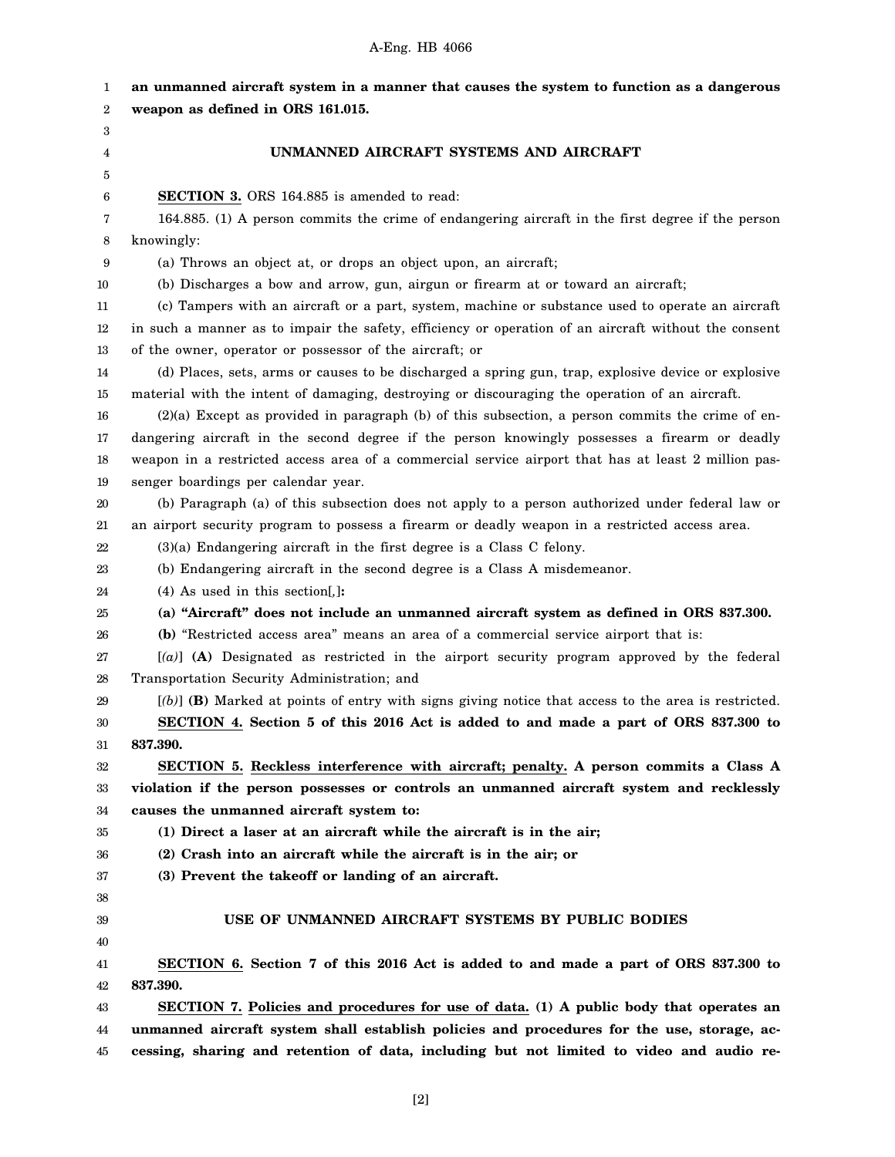| 1  | an unmanned aircraft system in a manner that causes the system to function as a dangerous             |
|----|-------------------------------------------------------------------------------------------------------|
| 2  | weapon as defined in ORS 161.015.                                                                     |
| 3  |                                                                                                       |
| 4  | UNMANNED AIRCRAFT SYSTEMS AND AIRCRAFT                                                                |
| 5  |                                                                                                       |
| 6  | SECTION 3. ORS 164.885 is amended to read:                                                            |
| 7  | 164.885. (1) A person commits the crime of endangering aircraft in the first degree if the person     |
| 8  | knowingly:                                                                                            |
| 9  | (a) Throws an object at, or drops an object upon, an aircraft;                                        |
| 10 | (b) Discharges a bow and arrow, gun, airgun or firearm at or toward an aircraft;                      |
| 11 | (c) Tampers with an aircraft or a part, system, machine or substance used to operate an aircraft      |
| 12 | in such a manner as to impair the safety, efficiency or operation of an aircraft without the consent  |
| 13 | of the owner, operator or possessor of the aircraft; or                                               |
| 14 | (d) Places, sets, arms or causes to be discharged a spring gun, trap, explosive device or explosive   |
| 15 | material with the intent of damaging, destroying or discouraging the operation of an aircraft.        |
| 16 | $(2)(a)$ Except as provided in paragraph (b) of this subsection, a person commits the crime of en-    |
| 17 | dangering aircraft in the second degree if the person knowingly possesses a firearm or deadly         |
| 18 | weapon in a restricted access area of a commercial service airport that has at least 2 million pas-   |
| 19 | senger boardings per calendar year.                                                                   |
| 20 | (b) Paragraph (a) of this subsection does not apply to a person authorized under federal law or       |
| 21 | an airport security program to possess a firearm or deadly weapon in a restricted access area.        |
| 22 | $(3)(a)$ Endangering aircraft in the first degree is a Class C felony.                                |
| 23 | (b) Endangering aircraft in the second degree is a Class A misdemeanor.                               |
| 24 | $(4)$ As used in this section[,]:                                                                     |
| 25 | (a) "Aircraft" does not include an unmanned aircraft system as defined in ORS 837.300.                |
| 26 | (b) "Restricted access area" means an area of a commercial service airport that is:                   |
| 27 | $[(a)]$ (A) Designated as restricted in the airport security program approved by the federal          |
| 28 | Transportation Security Administration; and                                                           |
| 29 | $[(b)]$ (B) Marked at points of entry with signs giving notice that access to the area is restricted. |
| 30 | SECTION 4. Section 5 of this 2016 Act is added to and made a part of ORS 837.300 to                   |
| 31 | 837.390.                                                                                              |
| 32 | SECTION 5. Reckless interference with aircraft; penalty. A person commits a Class A                   |
| 33 | violation if the person possesses or controls an unmanned aircraft system and recklessly              |
| 34 | causes the unmanned aircraft system to:                                                               |
| 35 | (1) Direct a laser at an aircraft while the aircraft is in the air;                                   |
| 36 | (2) Crash into an aircraft while the aircraft is in the air; or                                       |
| 37 | (3) Prevent the takeoff or landing of an aircraft.                                                    |
| 38 |                                                                                                       |
| 39 | USE OF UNMANNED AIRCRAFT SYSTEMS BY PUBLIC BODIES                                                     |
| 40 |                                                                                                       |
| 41 | SECTION 6. Section 7 of this 2016 Act is added to and made a part of ORS 837.300 to                   |
| 42 | 837.390.                                                                                              |
| 43 | SECTION 7. Policies and procedures for use of data. (1) A public body that operates an                |
| 44 | unmanned aircraft system shall establish policies and procedures for the use, storage, ac-            |
| 45 | cessing, sharing and retention of data, including but not limited to video and audio re-              |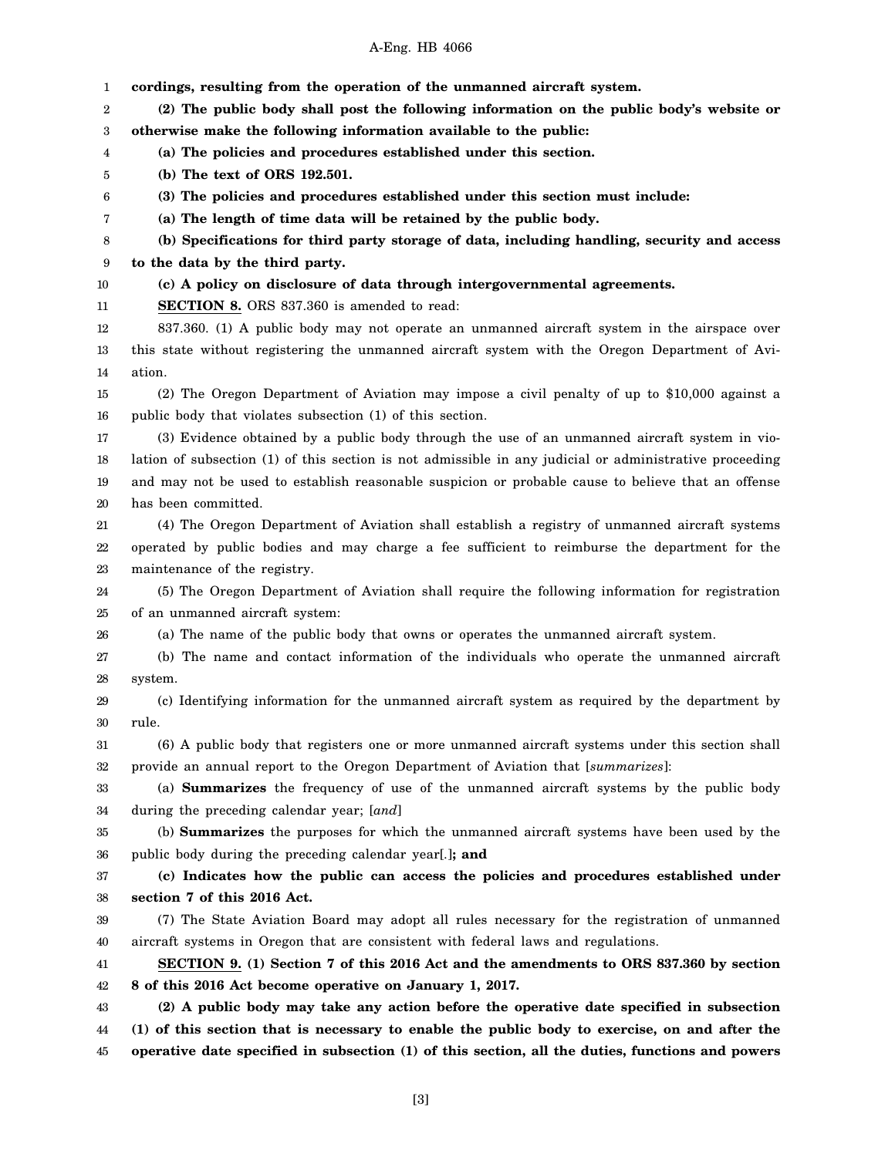|              | cordings, resulting from the operation of the unmanned aircraft system.                                 |
|--------------|---------------------------------------------------------------------------------------------------------|
| 1<br>2       | (2) The public body shall post the following information on the public body's website or                |
| 3            | otherwise make the following information available to the public:                                       |
| 4            | (a) The policies and procedures established under this section.                                         |
| 5            | (b) The text of ORS 192.501.                                                                            |
| 6            | (3) The policies and procedures established under this section must include:                            |
| 7            | (a) The length of time data will be retained by the public body.                                        |
| 8            | (b) Specifications for third party storage of data, including handling, security and access             |
| 9            | to the data by the third party.                                                                         |
| 10           | (c) A policy on disclosure of data through intergovernmental agreements.                                |
| 11           | <b>SECTION 8.</b> ORS 837.360 is amended to read:                                                       |
| 12           | 837.360. (1) A public body may not operate an unmanned aircraft system in the airspace over             |
| 13           | this state without registering the unmanned aircraft system with the Oregon Department of Avi-          |
| 14           | ation.                                                                                                  |
| 15           | (2) The Oregon Department of Aviation may impose a civil penalty of up to \$10,000 against a            |
|              | public body that violates subsection (1) of this section.                                               |
| 16           | (3) Evidence obtained by a public body through the use of an unmanned aircraft system in vio-           |
| 17           | lation of subsection (1) of this section is not admissible in any judicial or administrative proceeding |
| 18           | and may not be used to establish reasonable suspicion or probable cause to believe that an offense      |
| 19           | has been committed.                                                                                     |
| 20<br>$21\,$ | (4) The Oregon Department of Aviation shall establish a registry of unmanned aircraft systems           |
|              | operated by public bodies and may charge a fee sufficient to reimburse the department for the           |
| 22<br>23     | maintenance of the registry.                                                                            |
| 24           | (5) The Oregon Department of Aviation shall require the following information for registration          |
|              | of an unmanned aircraft system:                                                                         |
| 25           | (a) The name of the public body that owns or operates the unmanned aircraft system.                     |
| 26<br>27     | (b) The name and contact information of the individuals who operate the unmanned aircraft               |
| 28           | system.                                                                                                 |
| 29           | (c) Identifying information for the unmanned aircraft system as required by the department by           |
| $30\,$       | rule.                                                                                                   |
| 31           | (6) A public body that registers one or more unmanned aircraft systems under this section shall         |
| 32           | provide an annual report to the Oregon Department of Aviation that [summarizes]:                        |
| 33           | (a) <b>Summarizes</b> the frequency of use of the unmanned aircraft systems by the public body          |
| 34           | during the preceding calendar year; [and]                                                               |
| 35           | (b) <b>Summarizes</b> the purposes for which the unmanned aircraft systems have been used by the        |
| 36           | public body during the preceding calendar year[.]; and                                                  |
| 37           | (c) Indicates how the public can access the policies and procedures established under                   |
| 38           | section 7 of this 2016 Act.                                                                             |
| 39           | (7) The State Aviation Board may adopt all rules necessary for the registration of unmanned             |
| 40           | aircraft systems in Oregon that are consistent with federal laws and regulations.                       |
| 41           | SECTION 9. (1) Section 7 of this 2016 Act and the amendments to ORS 837.360 by section                  |
| 42           | 8 of this 2016 Act become operative on January 1, 2017.                                                 |
| 43           | (2) A public body may take any action before the operative date specified in subsection                 |
| 44           | (1) of this section that is necessary to enable the public body to exercise, on and after the           |
| 45           | operative date specified in subsection (1) of this section, all the duties, functions and powers        |
|              |                                                                                                         |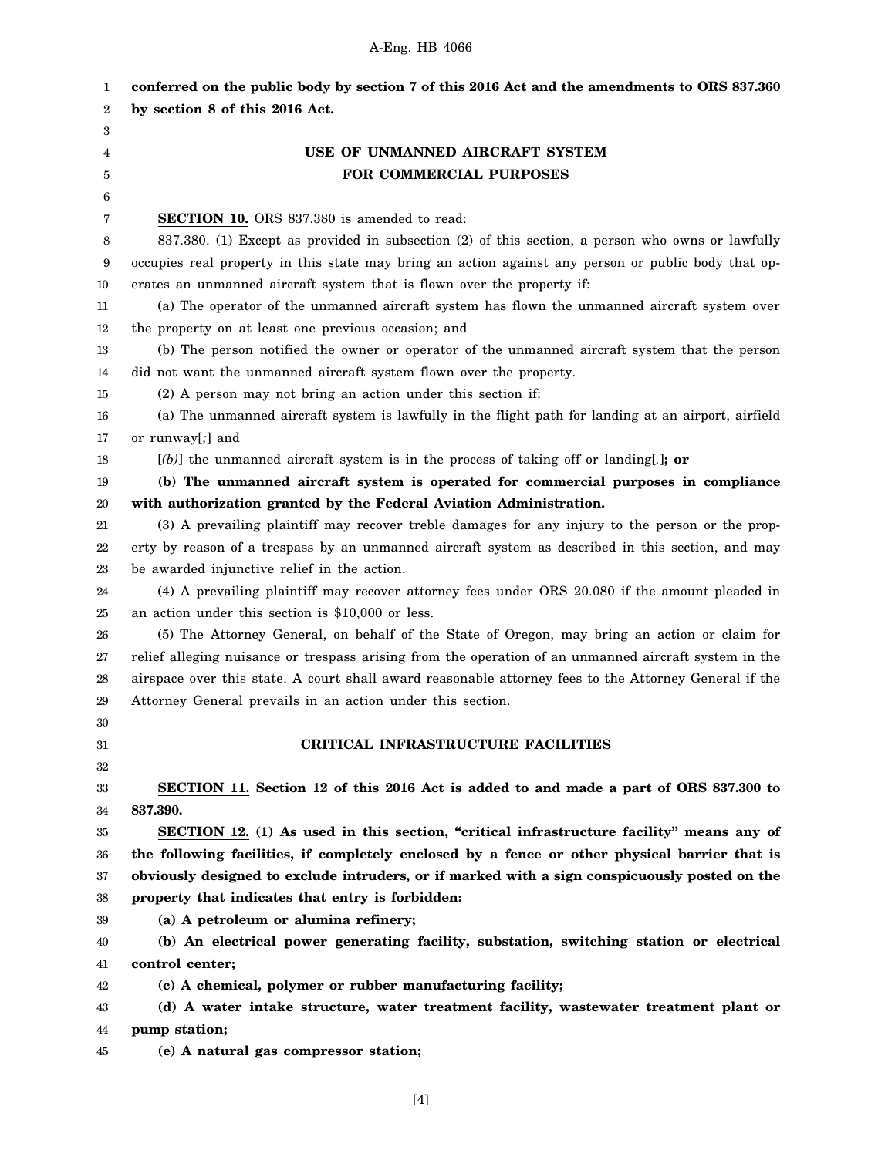| 1                | conferred on the public body by section 7 of this 2016 Act and the amendments to ORS 837.360          |
|------------------|-------------------------------------------------------------------------------------------------------|
| $\boldsymbol{2}$ | by section 8 of this 2016 Act.                                                                        |
| 3                |                                                                                                       |
| 4                | USE OF UNMANNED AIRCRAFT SYSTEM                                                                       |
| 5                | FOR COMMERCIAL PURPOSES                                                                               |
| 6                |                                                                                                       |
| 7                | <b>SECTION 10.</b> ORS 837.380 is amended to read:                                                    |
| 8                | 837.380. (1) Except as provided in subsection (2) of this section, a person who owns or lawfully      |
| 9                | occupies real property in this state may bring an action against any person or public body that op-   |
| 10               | erates an unmanned aircraft system that is flown over the property if:                                |
| 11               | (a) The operator of the unmanned aircraft system has flown the unmanned aircraft system over          |
| 12               | the property on at least one previous occasion; and                                                   |
| 13               | (b) The person notified the owner or operator of the unmanned aircraft system that the person         |
| 14               | did not want the unmanned aircraft system flown over the property.                                    |
| 15               | (2) A person may not bring an action under this section if:                                           |
| 16               | (a) The unmanned aircraft system is lawfully in the flight path for landing at an airport, airfield   |
| 17               | or runway[;] and                                                                                      |
| 18               | $[(b)]$ the unmanned aircraft system is in the process of taking off or landing[.]; or                |
| 19               | (b) The unmanned aircraft system is operated for commercial purposes in compliance                    |
| 20               | with authorization granted by the Federal Aviation Administration.                                    |
| 21               | (3) A prevailing plaintiff may recover treble damages for any injury to the person or the prop-       |
| 22               | erty by reason of a trespass by an unmanned aircraft system as described in this section, and may     |
| 23               | be awarded injunctive relief in the action.                                                           |
| 24               | (4) A prevailing plaintiff may recover attorney fees under ORS 20.080 if the amount pleaded in        |
| 25               | an action under this section is \$10,000 or less.                                                     |
| 26               | (5) The Attorney General, on behalf of the State of Oregon, may bring an action or claim for          |
| 27               | relief alleging nuisance or trespass arising from the operation of an unmanned aircraft system in the |
| 28               | airspace over this state. A court shall award reasonable attorney fees to the Attorney General if the |
| 29               | Attorney General prevails in an action under this section.                                            |
| 30               |                                                                                                       |
| 31               | CRITICAL INFRASTRUCTURE FACILITIES                                                                    |
| 32               |                                                                                                       |
| 33               | SECTION 11. Section 12 of this 2016 Act is added to and made a part of ORS 837.300 to                 |
| 34               | 837.390.                                                                                              |
| 35               | SECTION 12. (1) As used in this section, "critical infrastructure facility" means any of              |
| 36               | the following facilities, if completely enclosed by a fence or other physical barrier that is         |
| 37               | obviously designed to exclude intruders, or if marked with a sign conspicuously posted on the         |
| 38               | property that indicates that entry is forbidden:                                                      |
| 39               | (a) A petroleum or alumina refinery;                                                                  |
| 40               | (b) An electrical power generating facility, substation, switching station or electrical              |
| 41               | control center;                                                                                       |
| 42               | (c) A chemical, polymer or rubber manufacturing facility;                                             |
| 43               | (d) A water intake structure, water treatment facility, wastewater treatment plant or                 |
| 44               | pump station;                                                                                         |
| 45               | (e) A natural gas compressor station;                                                                 |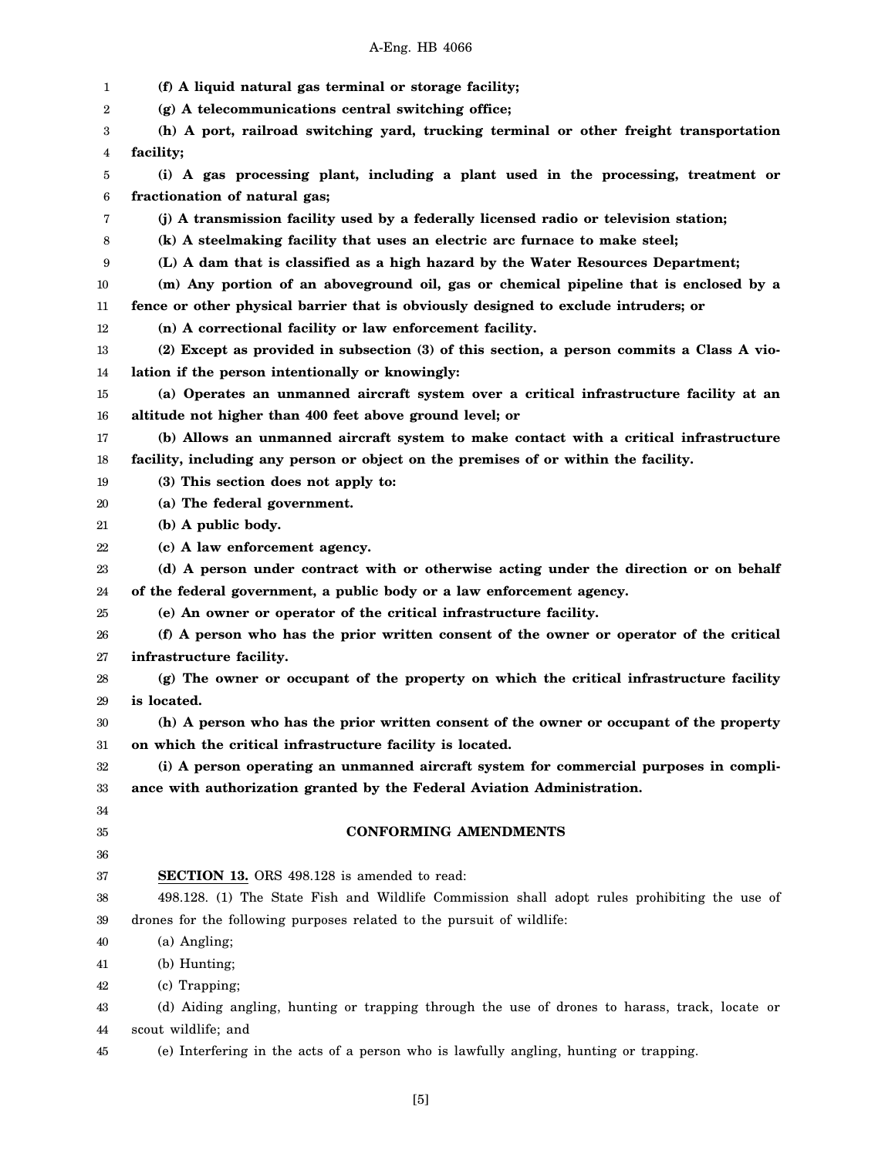| 1  | (f) A liquid natural gas terminal or storage facility;                                        |
|----|-----------------------------------------------------------------------------------------------|
| 2  | (g) A telecommunications central switching office;                                            |
| 3  | (h) A port, railroad switching yard, trucking terminal or other freight transportation        |
| 4  | facility;                                                                                     |
| 5  | (i) A gas processing plant, including a plant used in the processing, treatment or            |
| 6  | fractionation of natural gas;                                                                 |
| 7  | (j) A transmission facility used by a federally licensed radio or television station;         |
| 8  | (k) A steelmaking facility that uses an electric arc furnace to make steel;                   |
| 9  | (L) A dam that is classified as a high hazard by the Water Resources Department;              |
| 10 | (m) Any portion of an aboveground oil, gas or chemical pipeline that is enclosed by a         |
| 11 | fence or other physical barrier that is obviously designed to exclude intruders; or           |
| 12 | (n) A correctional facility or law enforcement facility.                                      |
| 13 | (2) Except as provided in subsection (3) of this section, a person commits a Class A vio-     |
| 14 | lation if the person intentionally or knowingly:                                              |
| 15 | (a) Operates an unmanned aircraft system over a critical infrastructure facility at an        |
| 16 | altitude not higher than 400 feet above ground level; or                                      |
| 17 | (b) Allows an unmanned aircraft system to make contact with a critical infrastructure         |
| 18 | facility, including any person or object on the premises of or within the facility.           |
| 19 | (3) This section does not apply to:                                                           |
| 20 | (a) The federal government.                                                                   |
| 21 | (b) A public body.                                                                            |
| 22 | (c) A law enforcement agency.                                                                 |
| 23 | (d) A person under contract with or otherwise acting under the direction or on behalf         |
| 24 | of the federal government, a public body or a law enforcement agency.                         |
| 25 | (e) An owner or operator of the critical infrastructure facility.                             |
| 26 | (f) A person who has the prior written consent of the owner or operator of the critical       |
| 27 | infrastructure facility.                                                                      |
| 28 | (g) The owner or occupant of the property on which the critical infrastructure facility       |
| 29 | is located.                                                                                   |
| 30 | (h) A person who has the prior written consent of the owner or occupant of the property       |
| 31 | on which the critical infrastructure facility is located.                                     |
| 32 | (i) A person operating an unmanned aircraft system for commercial purposes in compli-         |
| 33 | ance with authorization granted by the Federal Aviation Administration.                       |
| 34 |                                                                                               |
| 35 | <b>CONFORMING AMENDMENTS</b>                                                                  |
| 36 |                                                                                               |
| 37 | <b>SECTION 13.</b> ORS 498.128 is amended to read:                                            |
| 38 | 498.128. (1) The State Fish and Wildlife Commission shall adopt rules prohibiting the use of  |
| 39 | drones for the following purposes related to the pursuit of wildlife:                         |
| 40 | (a) Angling;                                                                                  |
| 41 | (b) Hunting;                                                                                  |
| 42 | (c) Trapping;                                                                                 |
| 43 | (d) Aiding angling, hunting or trapping through the use of drones to harass, track, locate or |
| 44 | scout wildlife; and                                                                           |
| 45 | (e) Interfering in the acts of a person who is lawfully angling, hunting or trapping.         |